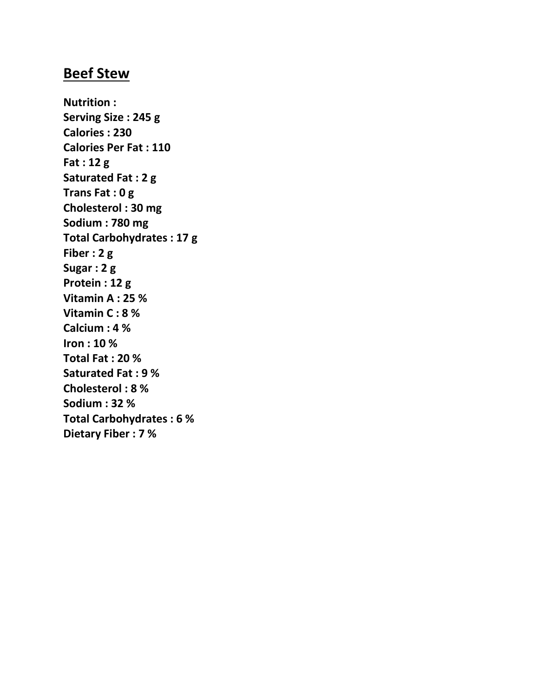#### **Beef Stew**

**Nutrition : Serving Size : 245 g Calories : 230 Calories Per Fat : 110 Fat : 12 g Saturated Fat : 2 g Trans Fat : 0 g Cholesterol : 30 mg Sodium : 780 mg Total Carbohydrates : 17 g Fiber : 2 g Sugar : 2 g Protein : 12 g Vitamin A : 25 % Vitamin C : 8 % Calcium : 4 % Iron : 10 % Total Fat : 20 % Saturated Fat : 9 % Cholesterol : 8 % Sodium : 32 % Total Carbohydrates : 6 % Dietary Fiber : 7 %**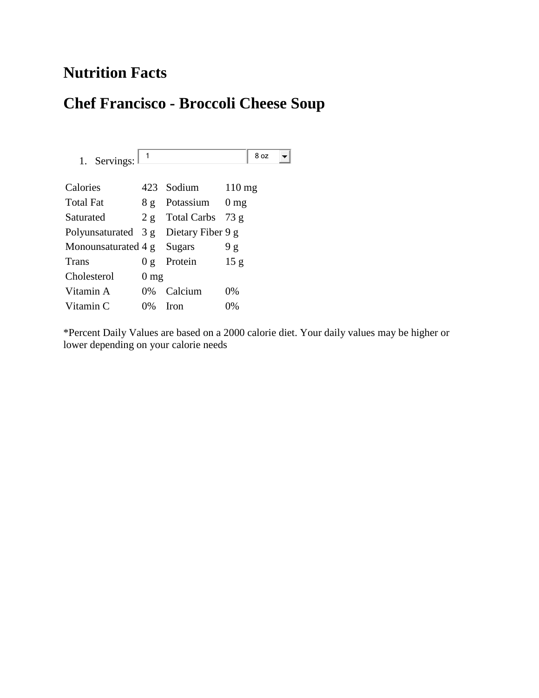## **Nutrition Facts**

#### **Chef Francisco - Broccoli Cheese Soup**

1. Servings:  $\boxed{1}$  8 oz  $\left| \rule{0pt}{10pt} \right.$ Calories 423 Sodium 110 mg Total Fat 8 g Potassium 0 mg Saturated 2 g Total Carbs 73 g Polyunsaturated 3 g Dietary Fiber 9 g Monounsaturated 4 g Sugars 9 g Trans 0 g Protein 15 g Cholesterol 0 mg Vitamin A  $0\%$  Calcium  $0\%$ Vitamin C  $0\%$  Iron  $0\%$ 

\*Percent Daily Values are based on a 2000 calorie diet. Your daily values may be higher or lower depending on your calorie needs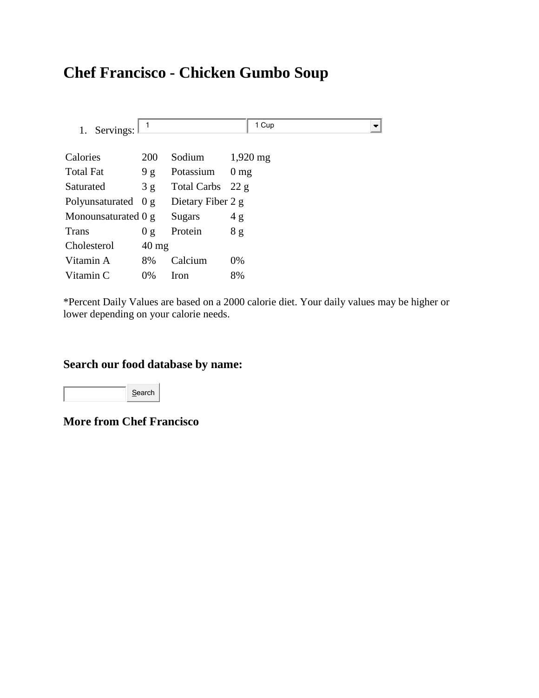# **Chef Francisco - Chicken Gumbo Soup**

| 1. Servings:          |                 |                   | 1 Cup                 |
|-----------------------|-----------------|-------------------|-----------------------|
| Calories              | <b>200</b>      | Sodium            | $1,920 \,\mathrm{mg}$ |
| <b>Total Fat</b>      | 9g              | Potassium         | $0 \text{ mg}$        |
| Saturated             | 3g              | Total Carbs 22 g  |                       |
| Polyunsaturated $0 g$ |                 | Dietary Fiber 2 g |                       |
| Monounsaturated 0 g   |                 | Sugars            | 4g                    |
| <b>Trans</b>          | 0 g             | Protein           | 8g                    |
| Cholesterol           | $40 \text{ mg}$ |                   |                       |
| Vitamin A             | 8%              | Calcium           | 0%                    |
| Vitamin C             | $0\%$           | <b>Iron</b>       | 8%                    |

\*Percent Daily Values are based on a 2000 calorie diet. Your daily values may be higher or lower depending on your calorie needs.

#### **Search our food database by name:**

Search

**More from Chef Francisco**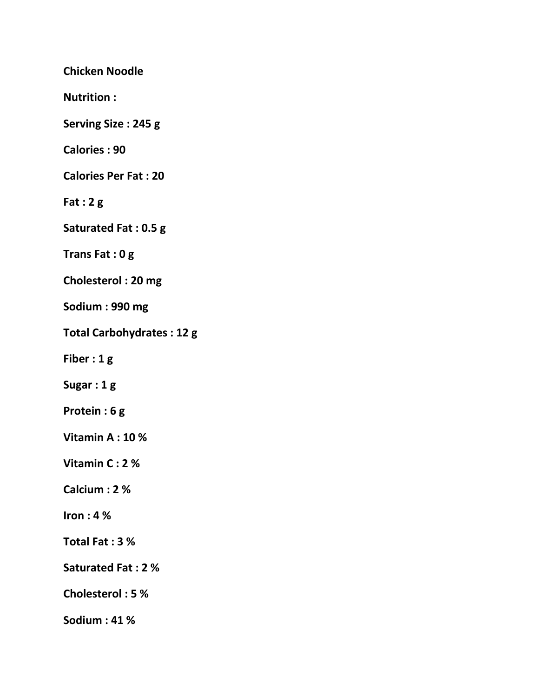**Chicken Noodle**

**Nutrition :** 

**Serving Size : 245 g** 

**Calories : 90** 

**Calories Per Fat : 20** 

**Fat : 2 g** 

**Saturated Fat : 0.5 g** 

**Trans Fat : 0 g** 

**Cholesterol : 20 mg** 

**Sodium : 990 mg** 

**Total Carbohydrates : 12 g** 

**Fiber : 1 g** 

**Sugar : 1 g** 

**Protein : 6 g** 

**Vitamin A : 10 %** 

**Vitamin C : 2 %** 

**Calcium : 2 %** 

**Iron : 4 %** 

**Total Fat : 3 %** 

**Saturated Fat : 2 %** 

**Cholesterol : 5 %** 

**Sodium : 41 %**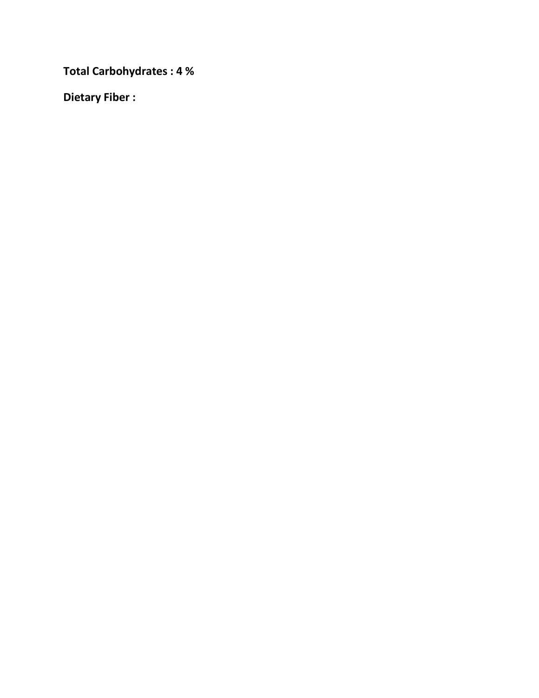**Total Carbohydrates : 4 %** 

**Dietary Fiber :**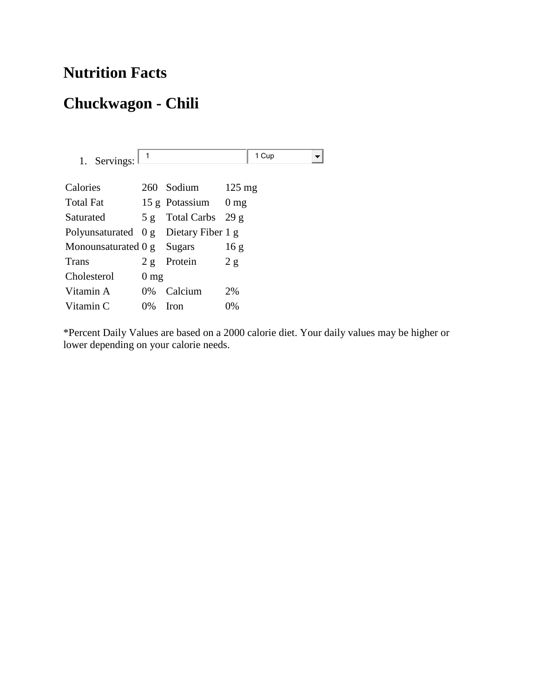## **Nutrition Facts**

# **Chuckwagon - Chili**

| 1. Servings: $\frac{1}{1}$            |                |                     | 1 Cup |
|---------------------------------------|----------------|---------------------|-------|
| Calories                              |                | 260 Sodium 125 mg   |       |
| Total Fat                             |                | 15 g Potassium 0 mg |       |
| Saturated 5 g Total Carbs 29 g        |                |                     |       |
| Polyunsaturated 0 g Dietary Fiber 1 g |                |                     |       |
| Monounsaturated 0 g Sugars            |                |                     | 16g   |
| Trans                                 |                | $2 g$ Protein $2 g$ |       |
| Cholesterol                           | $0 \text{ mg}$ |                     |       |
| Vitamin A 0% Calcium                  |                |                     | 2%    |
| Vitamin C                             | $0\%$          | Iron                | 0%    |
|                                       |                |                     |       |

\*Percent Daily Values are based on a 2000 calorie diet. Your daily values may be higher or lower depending on your calorie needs.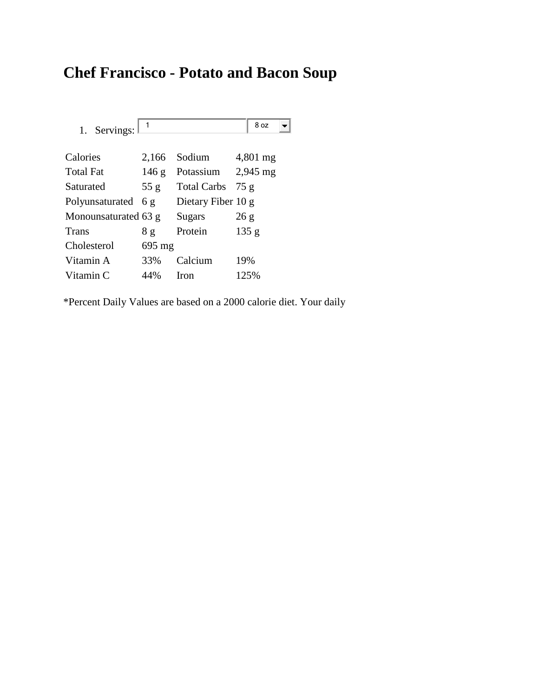# **Chef Francisco - Potato and Bacon Soup**

| 1. Servings:         |        |                      | 8 oz     |
|----------------------|--------|----------------------|----------|
| Calories             | 2,166  | Sodium               | 4,801 mg |
| Total Fat            | 146 g  | Potassium $2,945$ mg |          |
| Saturated            | 55 g   | <b>Total Carbs</b>   | 75g      |
| Polyunsaturated $6g$ |        | Dietary Fiber 10 g   |          |
| Monounsaturated 63 g |        | Sugars               | 26g      |
| Trans                | 8g     | Protein              | 135 g    |
| Cholesterol          | 695 mg |                      |          |
| Vitamin A            | 33%    | Calcium              | 19%      |
| Vitamin C            | 44%    | <b>Iron</b>          | 125%     |

\*Percent Daily Values are based on a 2000 calorie diet. Your daily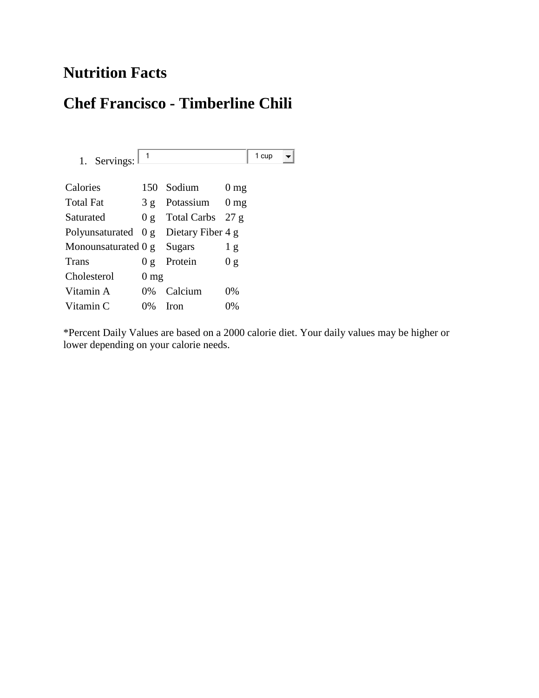## **Nutrition Facts**

#### **Chef Francisco - Timberline Chili**

1. Servings:  $\boxed{1}$  1 cup  $\left| \mathbf{v} \right|$ Calories 150 Sodium 0 mg Total Fat 3 g Potassium 0 mg Saturated 0 g Total Carbs 27 g Polyunsaturated 0 g Dietary Fiber 4 g Monounsaturated 0 g Sugars 1 g Trans 0 g Protein 0 g Cholesterol 0 mg Vitamin A  $0\%$  Calcium  $0\%$ Vitamin C  $0\%$  Iron  $0\%$ 

\*Percent Daily Values are based on a 2000 calorie diet. Your daily values may be higher or lower depending on your calorie needs.